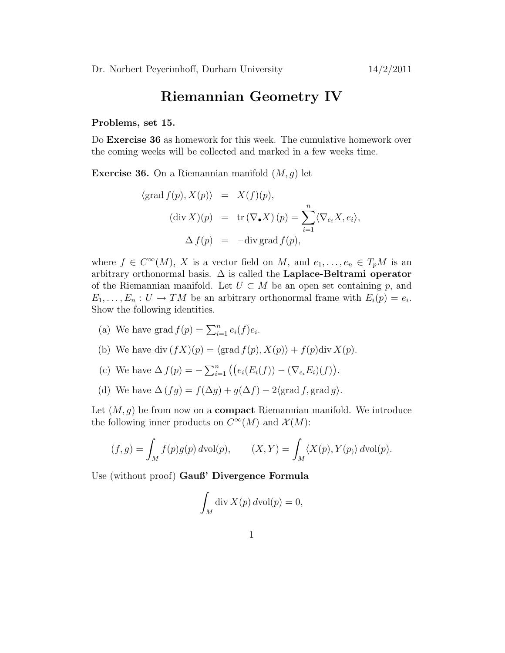## Riemannian Geometry IV

## Problems, set 15.

Do Exercise 36 as homework for this week. The cumulative homework over the coming weeks will be collected and marked in a few weeks time.

**Exercise 36.** On a Riemannian manifold  $(M, g)$  let

$$
\langle \operatorname{grad} f(p), X(p) \rangle = X(f)(p),
$$
  
\n
$$
(\operatorname{div} X)(p) = \operatorname{tr} (\nabla_{\bullet} X)(p) = \sum_{i=1}^{n} \langle \nabla_{e_i} X, e_i \rangle,
$$
  
\n
$$
\Delta f(p) = -\operatorname{div} \operatorname{grad} f(p),
$$

where  $f \in C^{\infty}(M)$ , X is a vector field on M, and  $e_1, \ldots, e_n \in T_pM$  is an arbitrary orthonormal basis.  $\Delta$  is called the **Laplace-Beltrami operator** of the Riemannian manifold. Let  $U \subset M$  be an open set containing p, and  $E_1, \ldots, E_n : U \to TM$  be an arbitrary orthonormal frame with  $E_i(p) = e_i$ . Show the following identities.

- (a) We have grad  $f(p) = \sum_{i=1}^{n} e_i(f)e_i$ .
- (b) We have div  $(fX)(p) = \langle \text{grad } f(p), X(p) \rangle + f(p) \text{div } X(p).$
- (c) We have  $\Delta f(p) = -\sum_{i=1}^{n} ((e_i(E_i(f)) (\nabla_{e_i} E_i)(f)).$
- (d) We have  $\Delta (fg) = f(\Delta g) + g(\Delta f) 2\langle \text{grad } f, \text{grad } g \rangle.$

Let  $(M, g)$  be from now on a **compact** Riemannian manifold. We introduce the following inner products on  $C^{\infty}(M)$  and  $\mathcal{X}(M)$ :

$$
(f,g) = \int_M f(p)g(p) d\text{vol}(p), \qquad (X,Y) = \int_M \langle X(p), Y(p) \rangle d\text{vol}(p).
$$

Use (without proof) Gauß' Divergence Formula

$$
\int_M \operatorname{div} X(p) d\operatorname{vol}(p) = 0,
$$